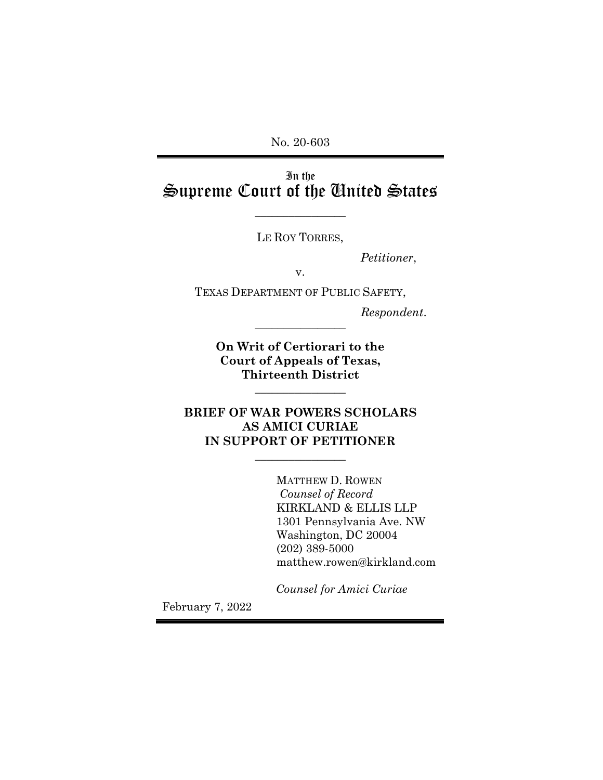No. 20-603

In the Supreme Court of the United States

 $\overline{\phantom{a}}$  , where  $\overline{\phantom{a}}$ 

LE ROY TORRES,

*Petitioner*,

v.

TEXAS DEPARTMENT OF PUBLIC SAFETY,

*Respondent*. \_\_\_\_\_\_\_\_\_\_\_\_\_\_\_\_

**On Writ of Certiorari to the Court of Appeals of Texas, Thirteenth District**

 $\overline{\phantom{a}}$  , where  $\overline{\phantom{a}}$ 

**BRIEF OF WAR POWERS SCHOLARS AS AMICI CURIAE IN SUPPORT OF PETITIONER**

 $\overline{\phantom{a}}$  , where  $\overline{\phantom{a}}$ 

MATTHEW D. ROWEN *Counsel of Record* KIRKLAND & ELLIS LLP 1301 Pennsylvania Ave. NW Washington, DC 20004 (202) 389-5000 matthew.rowen@kirkland.com

*Counsel for Amici Curiae*

February 7, 2022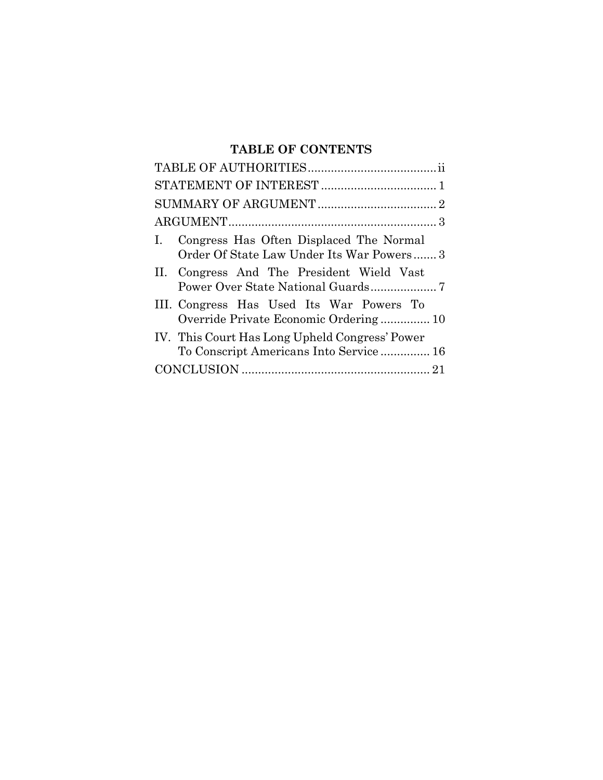# **TABLE OF CONTENTS**

| Congress Has Often Displaced The Normal<br>$\mathbf{L}$<br>Order Of State Law Under Its War Powers 3 |
|------------------------------------------------------------------------------------------------------|
| II. Congress And The President Wield Vast                                                            |
| III. Congress Has Used Its War Powers To<br>Override Private Economic Ordering 10                    |
| IV. This Court Has Long Upheld Congress' Power<br>To Conscript Americans Into Service  16            |
|                                                                                                      |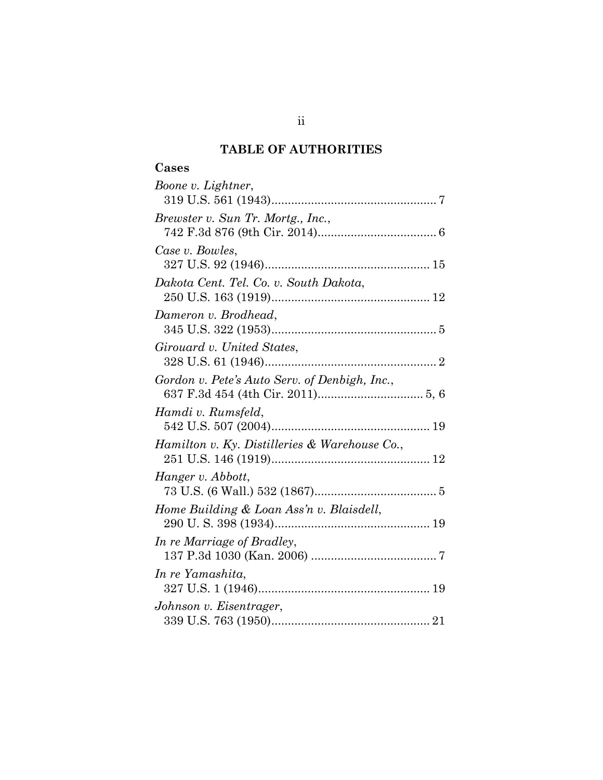## **TABLE OF AUTHORITIES**

# **Cases**

| Boone v. Lightner,                            |
|-----------------------------------------------|
| Brewster v. Sun Tr. Mortg., Inc.,             |
| Case v. Bowles,                               |
| Dakota Cent. Tel. Co. v. South Dakota,        |
| Dameron v. Brodhead,                          |
| Girouard v. United States,                    |
| Gordon v. Pete's Auto Serv. of Denbigh, Inc., |
| Hamdi v. Rumsfeld,                            |
| Hamilton v. Ky. Distilleries & Warehouse Co., |
| Hanger v. Abbott,                             |
| Home Building & Loan Ass'n v. Blaisdell,      |
| In re Marriage of Bradley,                    |
| In re Yamashita,                              |
| Johnson v. Eisentrager,                       |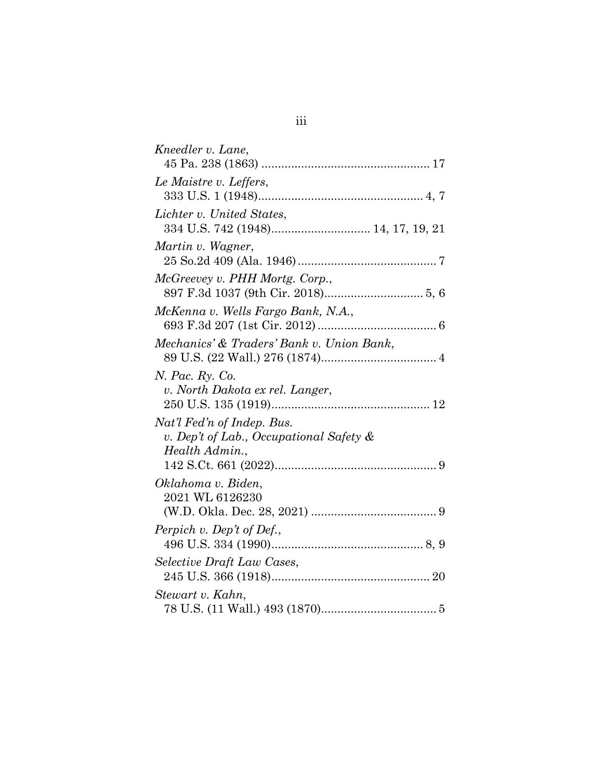| Kneedler v. Lane,                                                                       |
|-----------------------------------------------------------------------------------------|
|                                                                                         |
| Le Maistre v. Leffers,                                                                  |
| Lichter v. United States,                                                               |
| Martin v. Wagner,                                                                       |
| McGreevey v. PHH Mortg. Corp.,                                                          |
| McKenna v. Wells Fargo Bank, N.A.,                                                      |
| Mechanics' & Traders' Bank v. Union Bank,                                               |
| <i>N. Pac. Ry. Co.</i><br>v. North Dakota ex rel. Langer,                               |
| Nat'l Fed'n of Indep. Bus.<br>v. Dep't of Lab., Occupational Safety &<br>Health Admin., |
| Oklahoma v. Biden,<br>2021 WL 6126230                                                   |
| Perpich v. Dep't of Def.,                                                               |
| Selective Draft Law Cases,                                                              |
| Stewart v. Kahn,                                                                        |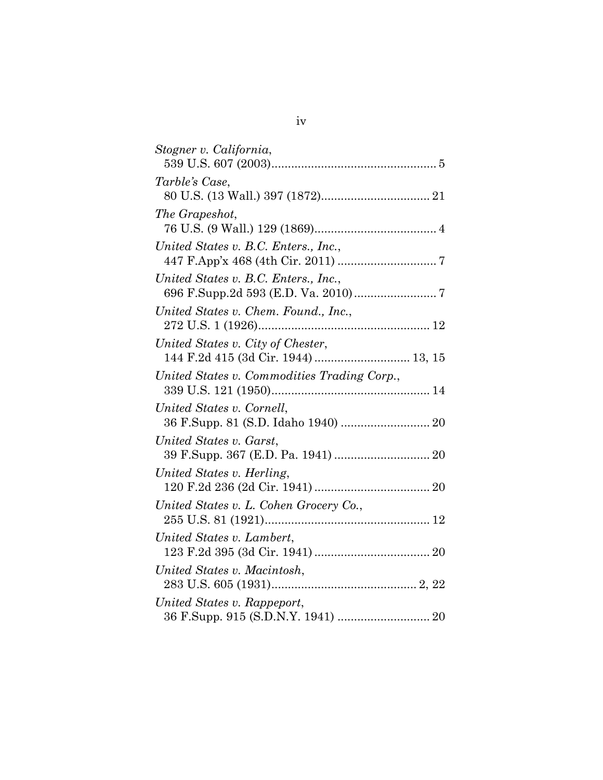| Stogner v. California,                                                   |
|--------------------------------------------------------------------------|
| Tarble's Case,                                                           |
| The Grapeshot,                                                           |
| United States v. B.C. Enters., Inc.,                                     |
| United States v. B.C. Enters., Inc.,                                     |
| United States v. Chem. Found., Inc.,                                     |
| United States v. City of Chester,<br>144 F.2d 415 (3d Cir. 1944)  13, 15 |
| United States v. Commodities Trading Corp.,                              |
| United States v. Cornell,<br>36 F.Supp. 81 (S.D. Idaho 1940)  20         |
| United States v. Garst,                                                  |
| United States v. Herling,                                                |
| United States v. L. Cohen Grocery Co.,                                   |
| United States v. Lambert,                                                |
| United States v. Macintosh,                                              |
| United States v. Rappeport,                                              |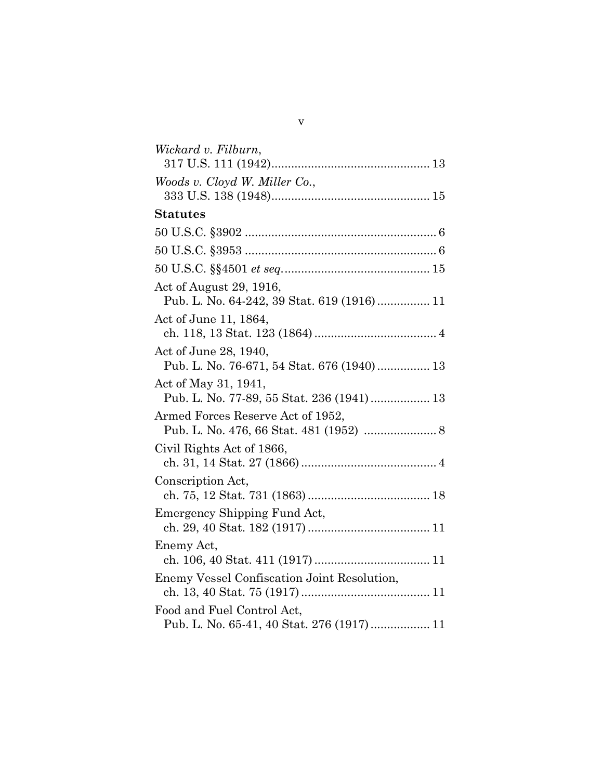| Wickard v. Filburn,                                                |
|--------------------------------------------------------------------|
|                                                                    |
| Woods v. Cloyd W. Miller Co.,                                      |
|                                                                    |
| <b>Statutes</b>                                                    |
|                                                                    |
|                                                                    |
|                                                                    |
| Act of August 29, 1916,                                            |
| Pub. L. No. 64-242, 39 Stat. 619 (1916) 11                         |
| Act of June 11, 1864,                                              |
|                                                                    |
| Act of June 28, 1940,                                              |
| Pub. L. No. 76-671, 54 Stat. 676 (1940) 13                         |
| Act of May 31, 1941,<br>Pub. L. No. 77-89, 55 Stat. 236 (1941)  13 |
| Armed Forces Reserve Act of 1952,                                  |
|                                                                    |
| Civil Rights Act of 1866,                                          |
|                                                                    |
| Conscription Act,                                                  |
|                                                                    |
| Emergency Shipping Fund Act,                                       |
|                                                                    |
| Enemy Act,                                                         |
|                                                                    |
| Enemy Vessel Confiscation Joint Resolution,                        |
| Food and Fuel Control Act,                                         |
| Pub. L. No. 65-41, 40 Stat. 276 (1917) 11                          |

v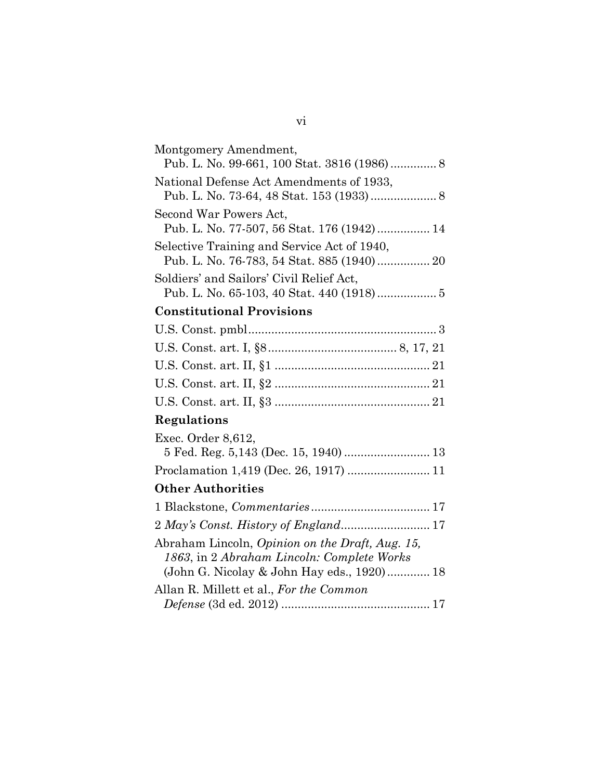| Montgomery Amendment,                                                                                                                       |
|---------------------------------------------------------------------------------------------------------------------------------------------|
| National Defense Act Amendments of 1933,                                                                                                    |
| Second War Powers Act,<br>Pub. L. No. 77-507, 56 Stat. 176 (1942) 14                                                                        |
| Selective Training and Service Act of 1940,<br>Pub. L. No. 76-783, 54 Stat. 885 (1940) 20                                                   |
| Soldiers' and Sailors' Civil Relief Act,                                                                                                    |
| <b>Constitutional Provisions</b>                                                                                                            |
|                                                                                                                                             |
|                                                                                                                                             |
|                                                                                                                                             |
|                                                                                                                                             |
|                                                                                                                                             |
| Regulations                                                                                                                                 |
| Exec. Order 8,612,                                                                                                                          |
| 5 Fed. Reg. 5,143 (Dec. 15, 1940)  13                                                                                                       |
| Proclamation 1,419 (Dec. 26, 1917)  11                                                                                                      |
| <b>Other Authorities</b>                                                                                                                    |
|                                                                                                                                             |
|                                                                                                                                             |
| Abraham Lincoln, Opinion on the Draft, Aug. 15,<br>1863, in 2 Abraham Lincoln: Complete Works<br>(John G. Nicolay & John Hay eds., 1920) 18 |
| Allan R. Millett et al., For the Common                                                                                                     |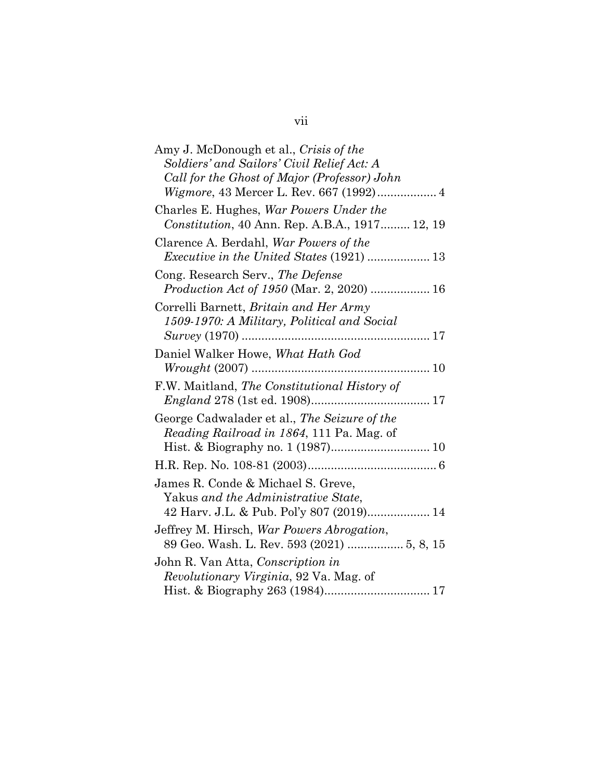vii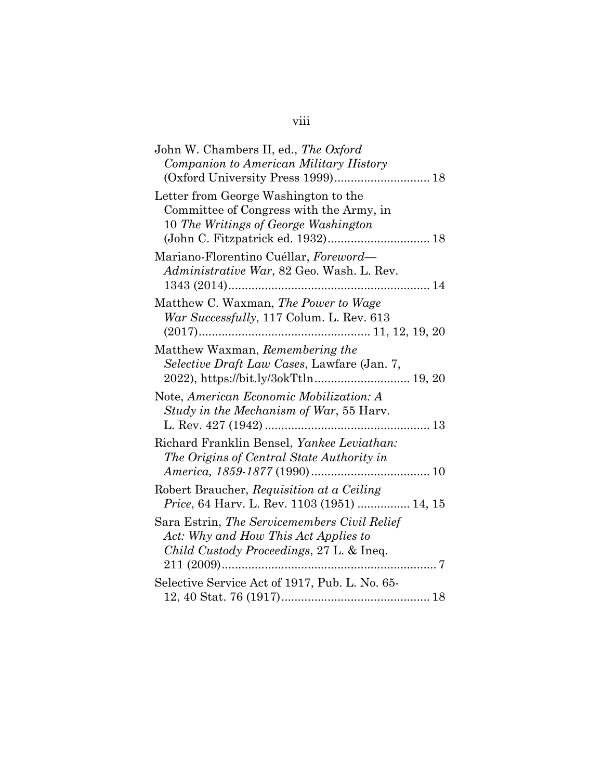| John W. Chambers II, ed., The Oxford                                                                                             |
|----------------------------------------------------------------------------------------------------------------------------------|
| Companion to American Military History<br>(Oxford University Press 1999) 18                                                      |
| Letter from George Washington to the                                                                                             |
| Committee of Congress with the Army, in<br>10 The Writings of George Washington                                                  |
| Mariano-Florentino Cuéllar, Foreword-<br>Administrative War, 82 Geo. Wash. L. Rev.                                               |
| Matthew C. Waxman, The Power to Wage<br>War Successfully, 117 Colum. L. Rev. 613                                                 |
| Matthew Waxman, Remembering the<br>Selective Draft Law Cases, Lawfare (Jan. 7,                                                   |
| Note, American Economic Mobilization: A<br>Study in the Mechanism of War, 55 Harv.                                               |
| Richard Franklin Bensel, Yankee Leviathan:<br>The Origins of Central State Authority in                                          |
| Robert Braucher, Requisition at a Ceiling<br>Price, 64 Harv. L. Rev. 1103 (1951)  14, 15                                         |
| Sara Estrin, The Servicemembers Civil Relief<br>Act: Why and How This Act Applies to<br>Child Custody Proceedings, 27 L. & Ineq. |
| Selective Service Act of 1917, Pub. L. No. 65-                                                                                   |

# viii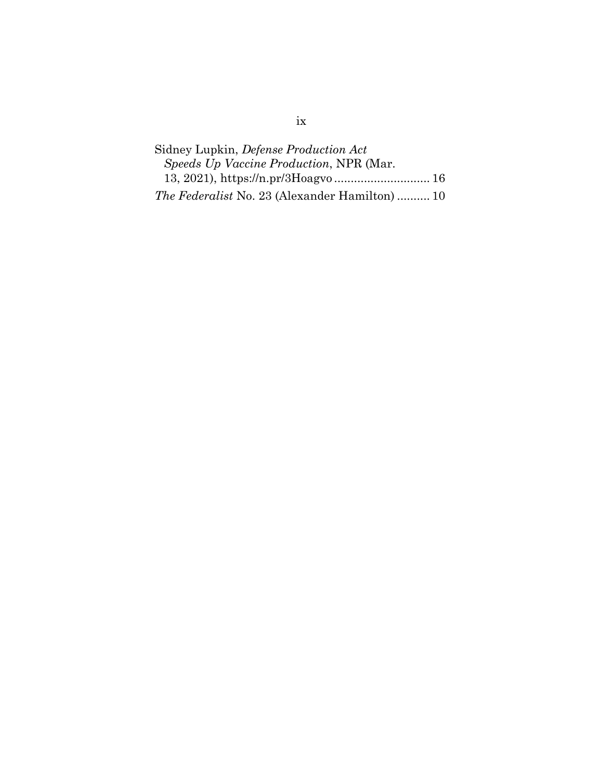| Sidney Lupkin, <i>Defense Production Act</i>          |  |
|-------------------------------------------------------|--|
| Speeds Up Vaccine Production, NPR (Mar.               |  |
| 13, 2021), https://n.pr/3Hoagvo 16                    |  |
| <i>The Federalist</i> No. 23 (Alexander Hamilton)  10 |  |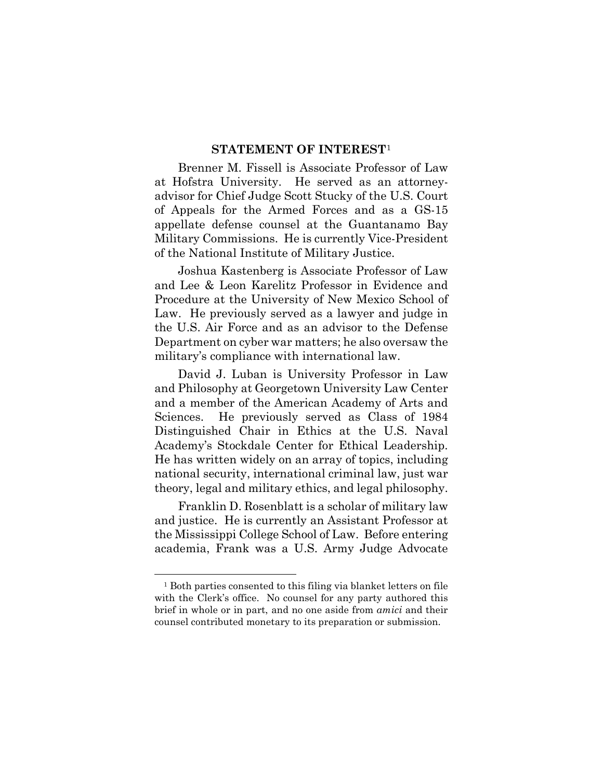#### **STATEMENT OF INTEREST**[1](#page-10-0)

Brenner M. Fissell is Associate Professor of Law at Hofstra University. He served as an attorneyadvisor for Chief Judge Scott Stucky of the U.S. Court of Appeals for the Armed Forces and as a GS-15 appellate defense counsel at the Guantanamo Bay Military Commissions. He is currently Vice-President of the National Institute of Military Justice.

Joshua Kastenberg is Associate Professor of Law and Lee & Leon Karelitz Professor in Evidence and Procedure at the University of New Mexico School of Law. He previously served as a lawyer and judge in the U.S. Air Force and as an advisor to the Defense Department on cyber war matters; he also oversaw the military's compliance with international law.

David J. Luban is University Professor in Law and Philosophy at Georgetown University Law Center and a member of the American Academy of Arts and Sciences. He previously served as Class of 1984 Distinguished Chair in Ethics at the U.S. Naval Academy's Stockdale Center for Ethical Leadership. He has written widely on an array of topics, including national security, international criminal law, just war theory, legal and military ethics, and legal philosophy.

Franklin D. Rosenblatt is a scholar of military law and justice. He is currently an Assistant Professor at the Mississippi College School of Law. Before entering academia, Frank was a U.S. Army Judge Advocate

<u>.</u>

<span id="page-10-0"></span><sup>1</sup> Both parties consented to this filing via blanket letters on file with the Clerk's office. No counsel for any party authored this brief in whole or in part, and no one aside from *amici* and their counsel contributed monetary to its preparation or submission.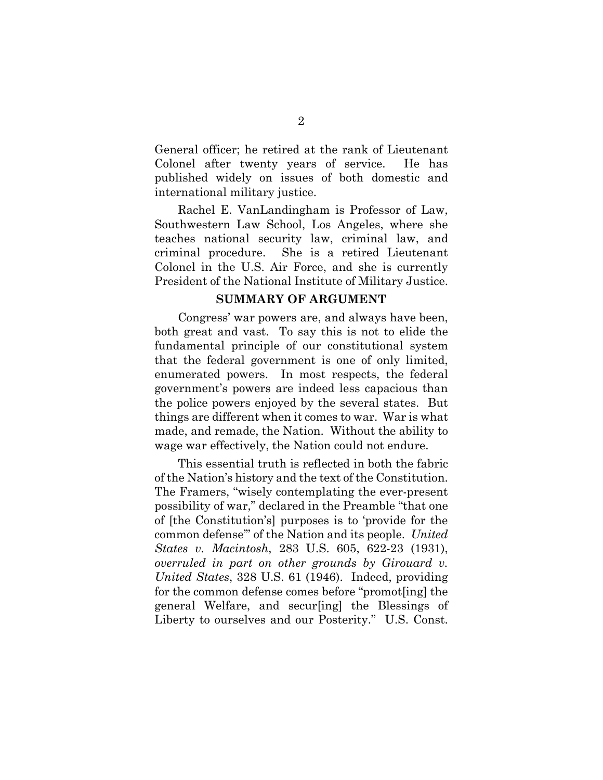General officer; he retired at the rank of Lieutenant Colonel after twenty years of service. He has published widely on issues of both domestic and international military justice.

Rachel E. VanLandingham is Professor of Law, Southwestern Law School, Los Angeles, where she teaches national security law, criminal law, and criminal procedure. She is a retired Lieutenant Colonel in the U.S. Air Force, and she is currently President of the National Institute of Military Justice.

#### **SUMMARY OF ARGUMENT**

Congress' war powers are, and always have been, both great and vast. To say this is not to elide the fundamental principle of our constitutional system that the federal government is one of only limited, enumerated powers. In most respects, the federal government's powers are indeed less capacious than the police powers enjoyed by the several states. But things are different when it comes to war. War is what made, and remade, the Nation. Without the ability to wage war effectively, the Nation could not endure.

This essential truth is reflected in both the fabric of the Nation's history and the text of the Constitution. The Framers, "wisely contemplating the ever-present possibility of war," declared in the Preamble "that one of [the Constitution's] purposes is to 'provide for the common defense'" of the Nation and its people. *United States v. Macintosh*, 283 U.S. 605, 622-23 (1931), *overruled in part on other grounds by Girouard v. United States*, 328 U.S. 61 (1946). Indeed, providing for the common defense comes before "promot[ing] the general Welfare, and secur[ing] the Blessings of Liberty to ourselves and our Posterity." U.S. Const.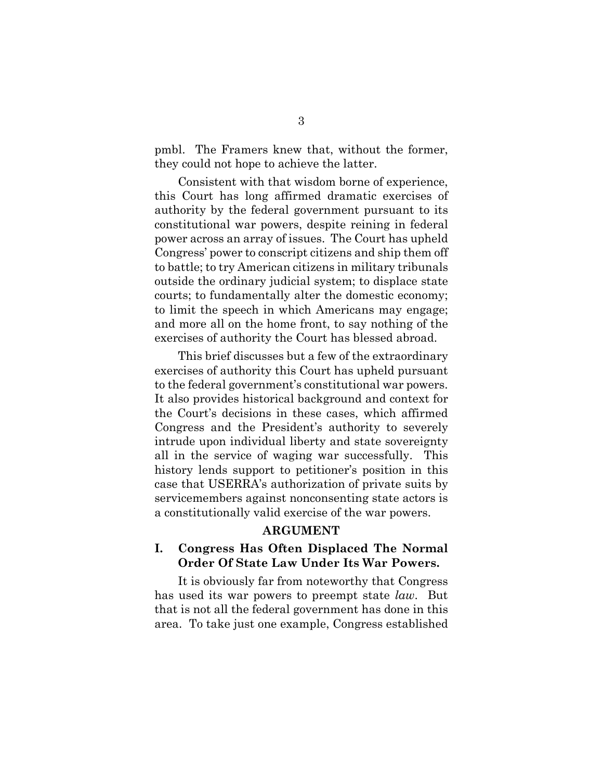pmbl. The Framers knew that, without the former, they could not hope to achieve the latter.

Consistent with that wisdom borne of experience, this Court has long affirmed dramatic exercises of authority by the federal government pursuant to its constitutional war powers, despite reining in federal power across an array of issues. The Court has upheld Congress' power to conscript citizens and ship them off to battle; to try American citizens in military tribunals outside the ordinary judicial system; to displace state courts; to fundamentally alter the domestic economy; to limit the speech in which Americans may engage; and more all on the home front, to say nothing of the exercises of authority the Court has blessed abroad.

This brief discusses but a few of the extraordinary exercises of authority this Court has upheld pursuant to the federal government's constitutional war powers. It also provides historical background and context for the Court's decisions in these cases, which affirmed Congress and the President's authority to severely intrude upon individual liberty and state sovereignty all in the service of waging war successfully. This history lends support to petitioner's position in this case that USERRA's authorization of private suits by servicemembers against nonconsenting state actors is a constitutionally valid exercise of the war powers.

#### **ARGUMENT**

## **I. Congress Has Often Displaced The Normal Order Of State Law Under Its War Powers.**

It is obviously far from noteworthy that Congress has used its war powers to preempt state *law*. But that is not all the federal government has done in this area. To take just one example, Congress established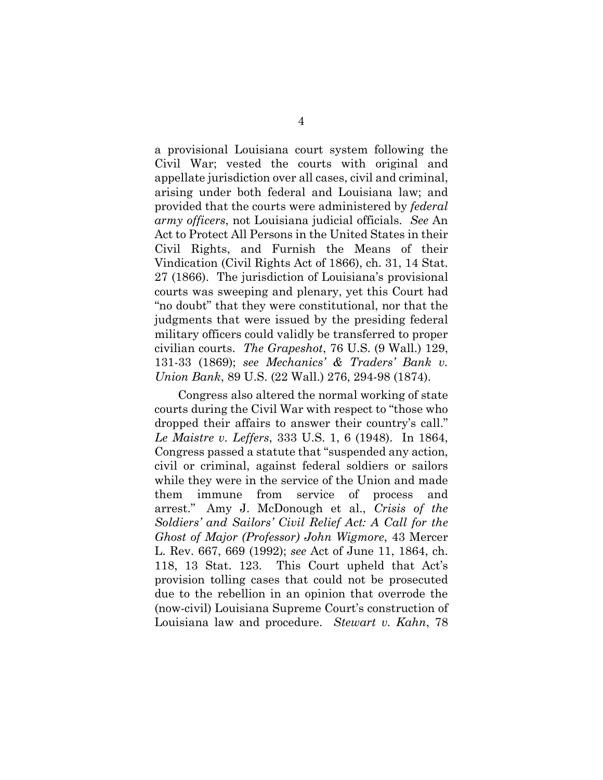a provisional Louisiana court system following the Civil War; vested the courts with original and appellate jurisdiction over all cases, civil and criminal, arising under both federal and Louisiana law; and provided that the courts were administered by *federal army officers*, not Louisiana judicial officials. *See* An Act to Protect All Persons in the United States in their Civil Rights, and Furnish the Means of their Vindication (Civil Rights Act of 1866), ch. 31, 14 Stat. 27 (1866). The jurisdiction of Louisiana's provisional courts was sweeping and plenary, yet this Court had "no doubt" that they were constitutional, nor that the judgments that were issued by the presiding federal military officers could validly be transferred to proper civilian courts. *The Grapeshot*, 76 U.S. (9 Wall.) 129, 131-33 (1869); *see Mechanics' & Traders' Bank v. Union Bank*, 89 U.S. (22 Wall.) 276, 294-98 (1874).

Congress also altered the normal working of state courts during the Civil War with respect to "those who dropped their affairs to answer their country's call." *Le Maistre v. Leffers*, 333 U.S. 1, 6 (1948). In 1864, Congress passed a statute that "suspended any action, civil or criminal, against federal soldiers or sailors while they were in the service of the Union and made them immune from service of process and arrest." Amy J. McDonough et al., *Crisis of the Soldiers' and Sailors' Civil Relief Act: A Call for the Ghost of Major (Professor) John Wigmore*, 43 Mercer L. Rev. 667, 669 (1992); *see* Act of June 11, 1864, ch. 118, 13 Stat. 123. This Court upheld that Act's provision tolling cases that could not be prosecuted due to the rebellion in an opinion that overrode the (now-civil) Louisiana Supreme Court's construction of Louisiana law and procedure. *Stewart v. Kahn*, 78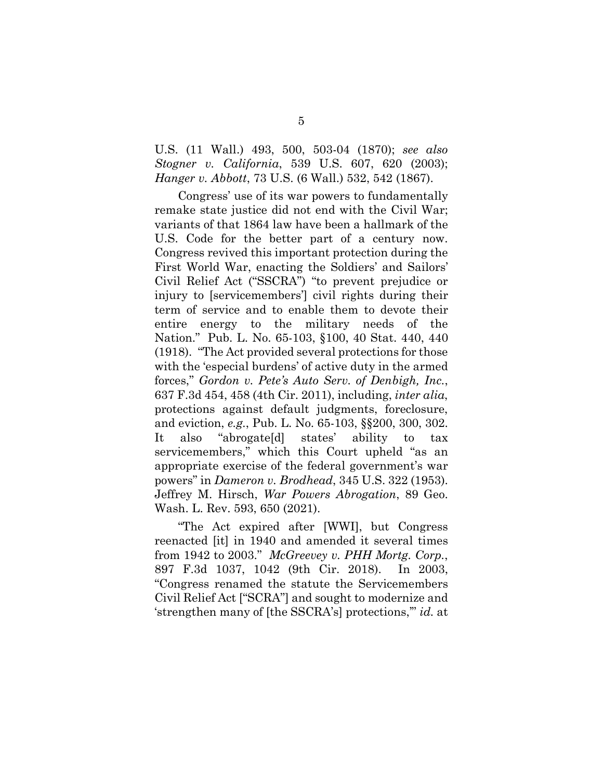U.S. (11 Wall.) 493, 500, 503-04 (1870); *see also Stogner v. California*, 539 U.S. 607, 620 (2003); *Hanger v. Abbott*, 73 U.S. (6 Wall.) 532, 542 (1867).

Congress' use of its war powers to fundamentally remake state justice did not end with the Civil War; variants of that 1864 law have been a hallmark of the U.S. Code for the better part of a century now. Congress revived this important protection during the First World War, enacting the Soldiers' and Sailors' Civil Relief Act ("SSCRA") "to prevent prejudice or injury to [servicemembers'] civil rights during their term of service and to enable them to devote their entire energy to the military needs of the Nation." Pub. L. No. 65-103, §100, 40 Stat. 440, 440 (1918). "The Act provided several protections for those with the 'especial burdens' of active duty in the armed forces," *Gordon v. Pete's Auto Serv. of Denbigh, Inc.*, 637 F.3d 454, 458 (4th Cir. 2011), including, *inter alia*, protections against default judgments, foreclosure, and eviction, *e.g.*, Pub. L. No. 65-103, §§200, 300, 302. It also "abrogate[d] states' ability to tax servicemembers," which this Court upheld "as an appropriate exercise of the federal government's war powers" in *Dameron v. Brodhead*, 345 U.S. 322 (1953). Jeffrey M. Hirsch, *War Powers Abrogation*, 89 Geo. Wash. L. Rev. 593, 650 (2021).

"The Act expired after [WWI], but Congress reenacted [it] in 1940 and amended it several times from 1942 to 2003." *McGreevey v. PHH Mortg. Corp.*, 897 F.3d 1037, 1042 (9th Cir. 2018). In 2003, "Congress renamed the statute the Servicemembers Civil Relief Act ["SCRA"] and sought to modernize and 'strengthen many of [the SSCRA's] protections,'" *id.* at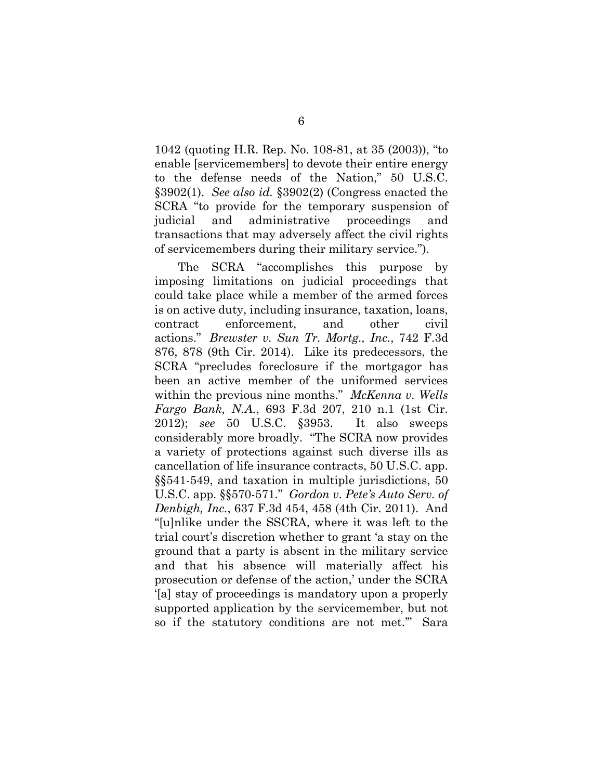1042 (quoting H.R. Rep. No. 108-81, at 35 (2003)), "to enable [servicemembers] to devote their entire energy to the defense needs of the Nation," 50 U.S.C. §3902(1). *See also id.* §3902(2) (Congress enacted the SCRA "to provide for the temporary suspension of judicial and administrative proceedings and transactions that may adversely affect the civil rights of servicemembers during their military service.").

The SCRA "accomplishes this purpose by imposing limitations on judicial proceedings that could take place while a member of the armed forces is on active duty, including insurance, taxation, loans, contract enforcement, and other civil actions." *Brewster v. Sun Tr. Mortg., Inc.*, 742 F.3d 876, 878 (9th Cir. 2014). Like its predecessors, the SCRA "precludes foreclosure if the mortgagor has been an active member of the uniformed services within the previous nine months." *McKenna v. Wells Fargo Bank, N.A.*, 693 F.3d 207, 210 n.1 (1st Cir. 2012); *see* 50 U.S.C. §3953. It also sweeps considerably more broadly. "The SCRA now provides a variety of protections against such diverse ills as cancellation of life insurance contracts, 50 U.S.C. app. §§541-549, and taxation in multiple jurisdictions, 50 U.S.C. app. §§570-571." *Gordon v. Pete's Auto Serv. of Denbigh, Inc.*, 637 F.3d 454, 458 (4th Cir. 2011). And "[u]nlike under the SSCRA, where it was left to the trial court's discretion whether to grant 'a stay on the ground that a party is absent in the military service and that his absence will materially affect his prosecution or defense of the action,' under the SCRA '[a] stay of proceedings is mandatory upon a properly supported application by the servicemember, but not so if the statutory conditions are not met.'" Sara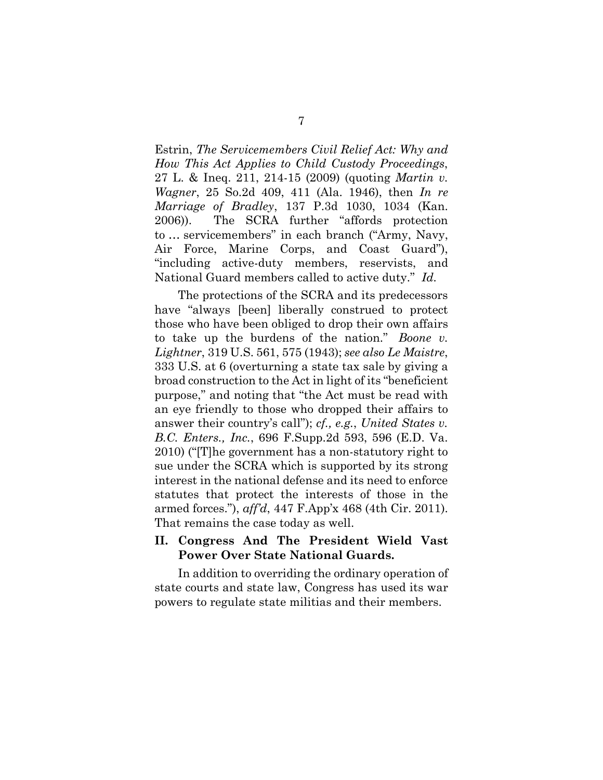Estrin, *The Servicemembers Civil Relief Act: Why and How This Act Applies to Child Custody Proceedings*, 27 L. & Ineq. 211, 214-15 (2009) (quoting *Martin v. Wagner*, 25 So.2d 409, 411 (Ala. 1946), then *In re Marriage of Bradley*, 137 P.3d 1030, 1034 (Kan. 2006)). The SCRA further "affords protection to … servicemembers" in each branch ("Army, Navy, Air Force, Marine Corps, and Coast Guard"), "including active-duty members, reservists, and National Guard members called to active duty." *Id.*

The protections of the SCRA and its predecessors have "always [been] liberally construed to protect those who have been obliged to drop their own affairs to take up the burdens of the nation." *Boone v. Lightner*, 319 U.S. 561, 575 (1943); *see also Le Maistre*, 333 U.S. at 6 (overturning a state tax sale by giving a broad construction to the Act in light of its "beneficient purpose," and noting that "the Act must be read with an eye friendly to those who dropped their affairs to answer their country's call"); *cf., e.g.*, *United States v. B.C. Enters., Inc.*, 696 F.Supp.2d 593, 596 (E.D. Va. 2010) ("[T]he government has a non-statutory right to sue under the SCRA which is supported by its strong interest in the national defense and its need to enforce statutes that protect the interests of those in the armed forces."), *aff'd*, 447 F.App'x 468 (4th Cir. 2011). That remains the case today as well.

### **II. Congress And The President Wield Vast Power Over State National Guards.**

In addition to overriding the ordinary operation of state courts and state law, Congress has used its war powers to regulate state militias and their members.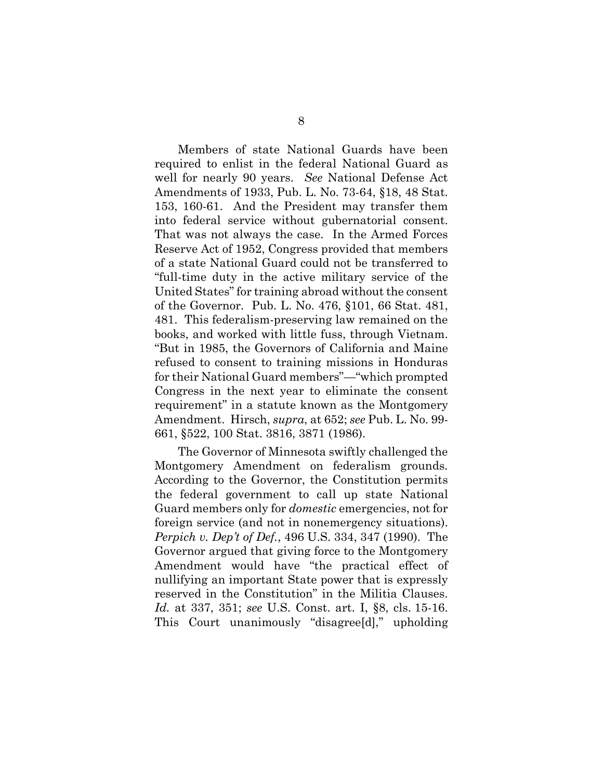Members of state National Guards have been required to enlist in the federal National Guard as well for nearly 90 years. *See* National Defense Act Amendments of 1933, Pub. L. No. 73-64, §18, 48 Stat. 153, 160-61. And the President may transfer them into federal service without gubernatorial consent. That was not always the case. In the Armed Forces Reserve Act of 1952, Congress provided that members of a state National Guard could not be transferred to "full-time duty in the active military service of the United States" for training abroad without the consent of the Governor. Pub. L. No. 476, §101, 66 Stat. 481, 481. This federalism-preserving law remained on the books, and worked with little fuss, through Vietnam. "But in 1985, the Governors of California and Maine refused to consent to training missions in Honduras for their National Guard members"—"which prompted Congress in the next year to eliminate the consent requirement" in a statute known as the Montgomery Amendment. Hirsch, *supra*, at 652; *see* Pub. L. No. 99- 661, §522, 100 Stat. 3816, 3871 (1986).

The Governor of Minnesota swiftly challenged the Montgomery Amendment on federalism grounds. According to the Governor, the Constitution permits the federal government to call up state National Guard members only for *domestic* emergencies, not for foreign service (and not in nonemergency situations). *Perpich v. Dep't of Def.*, 496 U.S. 334, 347 (1990). The Governor argued that giving force to the Montgomery Amendment would have "the practical effect of nullifying an important State power that is expressly reserved in the Constitution" in the Militia Clauses. *Id.* at 337, 351; *see* U.S. Const. art. I, §8, cls. 15-16. This Court unanimously "disagree[d]," upholding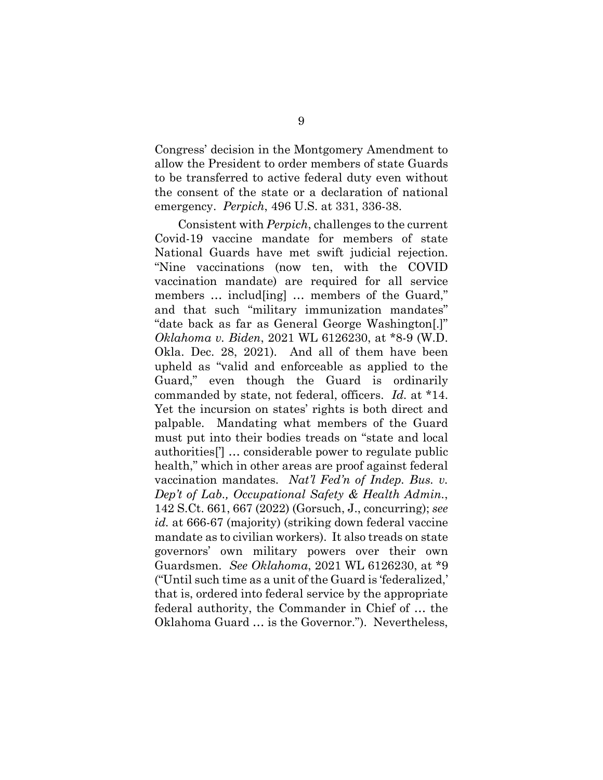Congress' decision in the Montgomery Amendment to allow the President to order members of state Guards to be transferred to active federal duty even without the consent of the state or a declaration of national emergency. *Perpich*, 496 U.S. at 331, 336-38.

Consistent with *Perpich*, challenges to the current Covid-19 vaccine mandate for members of state National Guards have met swift judicial rejection. "Nine vaccinations (now ten, with the COVID vaccination mandate) are required for all service members ... includ [ing] ... members of the Guard," and that such "military immunization mandates" "date back as far as General George Washington[.]" *Oklahoma v. Biden*, 2021 WL 6126230, at \*8-9 (W.D. Okla. Dec. 28, 2021). And all of them have been upheld as "valid and enforceable as applied to the Guard," even though the Guard is ordinarily commanded by state, not federal, officers. *Id.* at \*14. Yet the incursion on states' rights is both direct and palpable. Mandating what members of the Guard must put into their bodies treads on "state and local authorities['] … considerable power to regulate public health," which in other areas are proof against federal vaccination mandates. *Nat'l Fed'n of Indep. Bus. v. Dep't of Lab., Occupational Safety & Health Admin.*, 142 S.Ct. 661, 667 (2022) (Gorsuch, J., concurring); *see id.* at 666-67 (majority) (striking down federal vaccine mandate as to civilian workers). It also treads on state governors' own military powers over their own Guardsmen. *See Oklahoma*, 2021 WL 6126230, at \*9 ("Until such time as a unit of the Guard is 'federalized,' that is, ordered into federal service by the appropriate federal authority, the Commander in Chief of … the Oklahoma Guard … is the Governor."). Nevertheless,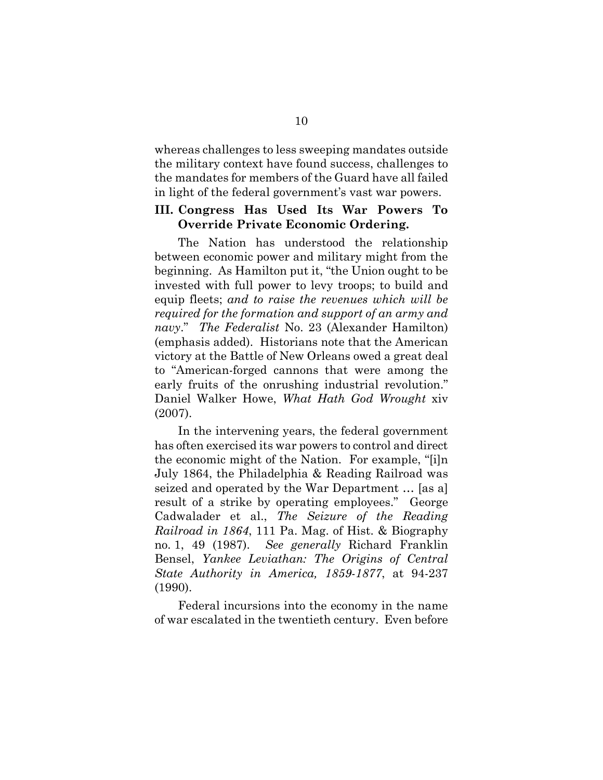whereas challenges to less sweeping mandates outside the military context have found success, challenges to the mandates for members of the Guard have all failed in light of the federal government's vast war powers.

## **III. Congress Has Used Its War Powers To Override Private Economic Ordering.**

The Nation has understood the relationship between economic power and military might from the beginning. As Hamilton put it, "the Union ought to be invested with full power to levy troops; to build and equip fleets; *and to raise the revenues which will be required for the formation and support of an army and navy*." *The Federalist* No. 23 (Alexander Hamilton) (emphasis added). Historians note that the American victory at the Battle of New Orleans owed a great deal to "American-forged cannons that were among the early fruits of the onrushing industrial revolution." Daniel Walker Howe, *What Hath God Wrought* xiv (2007).

In the intervening years, the federal government has often exercised its war powers to control and direct the economic might of the Nation. For example, "[i]n July 1864, the Philadelphia & Reading Railroad was seized and operated by the War Department … [as a] result of a strike by operating employees." George Cadwalader et al., *The Seizure of the Reading Railroad in 1864*, 111 Pa. Mag. of Hist. & Biography no. 1, 49 (1987). *See generally* Richard Franklin Bensel, *Yankee Leviathan: The Origins of Central State Authority in America, 1859-1877*, at 94-237 (1990).

Federal incursions into the economy in the name of war escalated in the twentieth century. Even before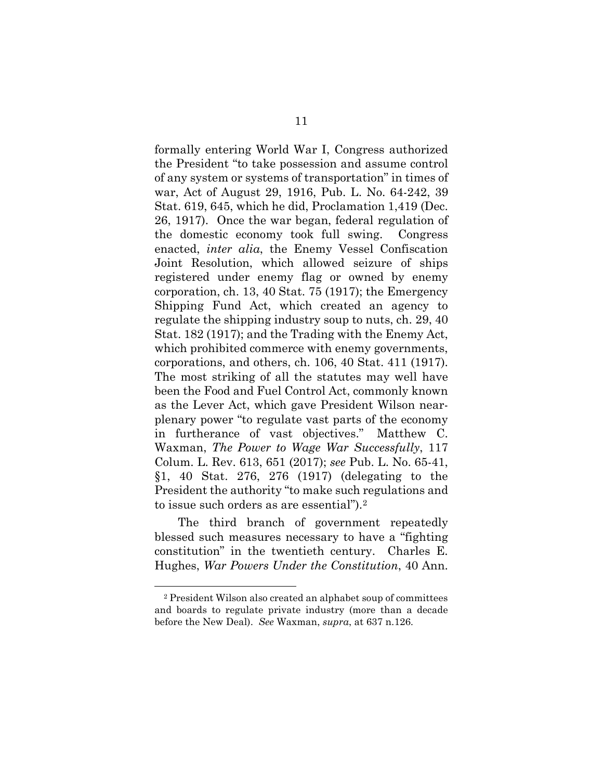formally entering World War I, Congress authorized the President "to take possession and assume control of any system or systems of transportation" in times of war, Act of August 29, 1916, Pub. L. No. 64-242, 39 Stat. 619, 645, which he did, Proclamation 1,419 (Dec. 26, 1917). Once the war began, federal regulation of the domestic economy took full swing. Congress enacted, *inter alia*, the Enemy Vessel Confiscation Joint Resolution, which allowed seizure of ships registered under enemy flag or owned by enemy corporation, ch. 13, 40 Stat. 75 (1917); the Emergency Shipping Fund Act, which created an agency to regulate the shipping industry soup to nuts, ch. 29, 40 Stat. 182 (1917); and the Trading with the Enemy Act, which prohibited commerce with enemy governments, corporations, and others, ch. 106, 40 Stat. 411 (1917). The most striking of all the statutes may well have been the Food and Fuel Control Act, commonly known as the Lever Act, which gave President Wilson nearplenary power "to regulate vast parts of the economy in furtherance of vast objectives." Matthew C. Waxman, *The Power to Wage War Successfully*, 117 Colum. L. Rev. 613, 651 (2017); *see* Pub. L. No. 65-41, §1, 40 Stat. 276, 276 (1917) (delegating to the President the authority "to make such regulations and to issue such orders as are essential").[2](#page-20-0)

The third branch of government repeatedly blessed such measures necessary to have a "fighting constitution" in the twentieth century. Charles E. Hughes, *War Powers Under the Constitution*, 40 Ann.

<u>.</u>

<span id="page-20-0"></span><sup>2</sup> President Wilson also created an alphabet soup of committees and boards to regulate private industry (more than a decade before the New Deal). *See* Waxman, *supra*, at 637 n.126.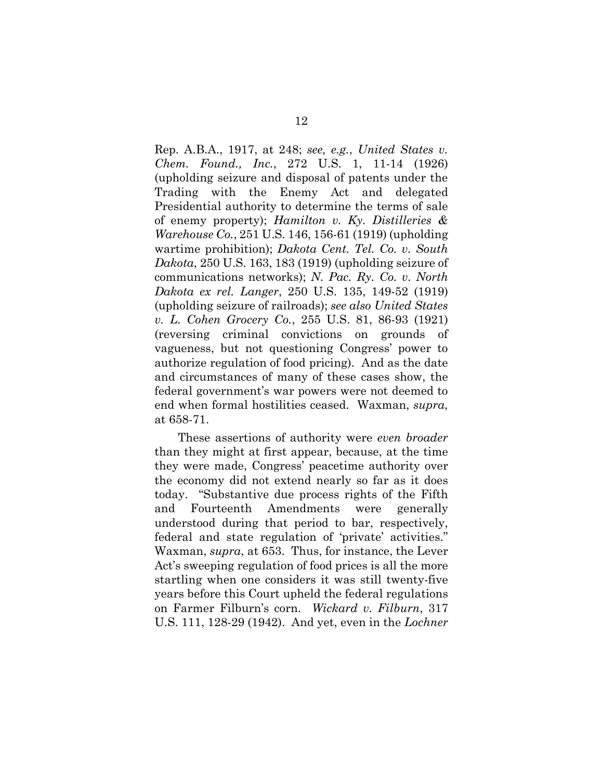Rep. A.B.A., 1917, at 248; *see, e.g.*, *United States v. Chem. Found., Inc.*, 272 U.S. 1, 11-14 (1926) (upholding seizure and disposal of patents under the Trading with the Enemy Act and delegated Presidential authority to determine the terms of sale of enemy property); *Hamilton v. Ky. Distilleries & Warehouse Co.*, 251 U.S. 146, 156-61 (1919) (upholding wartime prohibition); *Dakota Cent. Tel. Co. v. South Dakota*, 250 U.S. 163, 183 (1919) (upholding seizure of communications networks); *N. Pac. Ry. Co. v. North Dakota ex rel. Langer*, 250 U.S. 135, 149-52 (1919) (upholding seizure of railroads); *see also United States v. L. Cohen Grocery Co.*, 255 U.S. 81, 86-93 (1921) (reversing criminal convictions on grounds of vagueness, but not questioning Congress' power to authorize regulation of food pricing). And as the date and circumstances of many of these cases show, the federal government's war powers were not deemed to end when formal hostilities ceased. Waxman, *supra*, at 658-71.

These assertions of authority were *even broader* than they might at first appear, because, at the time they were made, Congress' peacetime authority over the economy did not extend nearly so far as it does today. "Substantive due process rights of the Fifth and Fourteenth Amendments were generally understood during that period to bar, respectively, federal and state regulation of 'private' activities." Waxman, *supra*, at 653. Thus, for instance, the Lever Act's sweeping regulation of food prices is all the more startling when one considers it was still twenty-five years before this Court upheld the federal regulations on Farmer Filburn's corn. *Wickard v. Filburn*, 317 U.S. 111, 128-29 (1942). And yet, even in the *Lochner*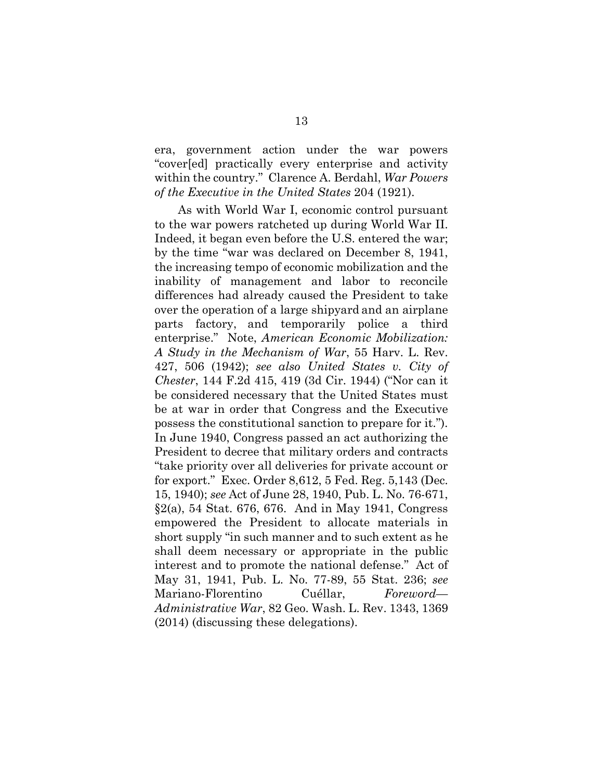era, government action under the war powers "cover[ed] practically every enterprise and activity within the country." Clarence A. Berdahl, *War Powers of the Executive in the United States* 204 (1921).

As with World War I, economic control pursuant to the war powers ratcheted up during World War II. Indeed, it began even before the U.S. entered the war; by the time "war was declared on December 8, 1941, the increasing tempo of economic mobilization and the inability of management and labor to reconcile differences had already caused the President to take over the operation of a large shipyard and an airplane parts factory, and temporarily police a third enterprise." Note, *American Economic Mobilization: A Study in the Mechanism of War*, 55 Harv. L. Rev. 427, 506 (1942); *see also United States v. City of Chester*, 144 F.2d 415, 419 (3d Cir. 1944) ("Nor can it be considered necessary that the United States must be at war in order that Congress and the Executive possess the constitutional sanction to prepare for it."). In June 1940, Congress passed an act authorizing the President to decree that military orders and contracts "take priority over all deliveries for private account or for export." Exec. Order 8,612, 5 Fed. Reg. 5,143 (Dec. 15, 1940); *see* Act of June 28, 1940, Pub. L. No. 76-671, §2(a), 54 Stat. 676, 676. And in May 1941, Congress empowered the President to allocate materials in short supply "in such manner and to such extent as he shall deem necessary or appropriate in the public interest and to promote the national defense." Act of May 31, 1941, Pub. L. No. 77-89, 55 Stat. 236; *see* Mariano-Florentino Cuéllar, *Foreword— Administrative War*, 82 Geo. Wash. L. Rev. 1343, 1369 (2014) (discussing these delegations).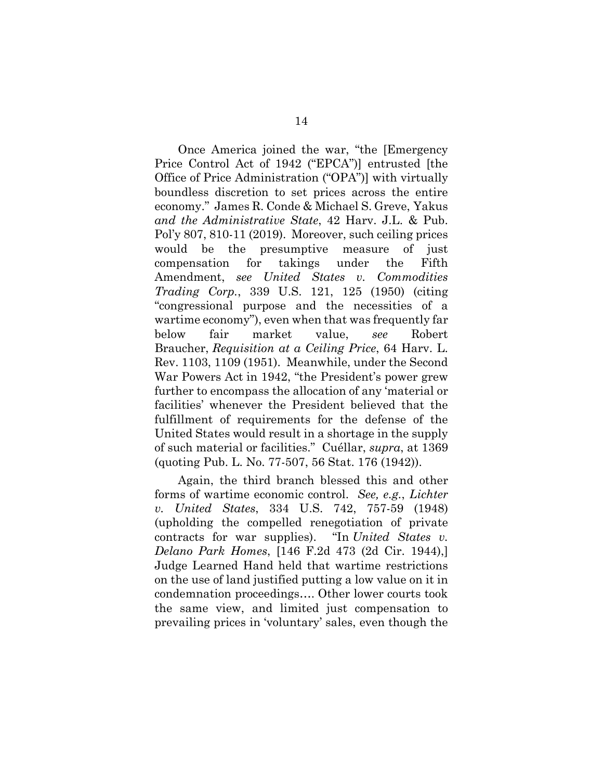Once America joined the war, "the [Emergency Price Control Act of 1942 ("EPCA")] entrusted [the Office of Price Administration ("OPA")] with virtually boundless discretion to set prices across the entire economy." James R. Conde & Michael S. Greve, Yakus *and the Administrative State*, 42 Harv. J.L. & Pub. Pol'y 807, 810-11 (2019). Moreover, such ceiling prices would be the presumptive measure of just compensation for takings under the Fifth Amendment, *see United States v. Commodities Trading Corp.*, 339 U.S. 121, 125 (1950) (citing "congressional purpose and the necessities of a wartime economy"), even when that was frequently far below fair market value, *see* Robert Braucher, *Requisition at a Ceiling Price*, 64 Harv. L. Rev. 1103, 1109 (1951). Meanwhile, under the Second War Powers Act in 1942, "the President's power grew further to encompass the allocation of any 'material or facilities' whenever the President believed that the fulfillment of requirements for the defense of the United States would result in a shortage in the supply of such material or facilities." Cuéllar, *supra*, at 1369 (quoting Pub. L. No. 77-507, 56 Stat. 176 (1942)).

Again, the third branch blessed this and other forms of wartime economic control. *See, e.g.*, *Lichter v. United States*, 334 U.S. 742, 757-59 (1948) (upholding the compelled renegotiation of private contracts for war supplies). "In *United States v. Delano Park Homes*, [146 F.2d 473 (2d Cir. 1944),] Judge Learned Hand held that wartime restrictions on the use of land justified putting a low value on it in condemnation proceedings…. Other lower courts took the same view, and limited just compensation to prevailing prices in 'voluntary' sales, even though the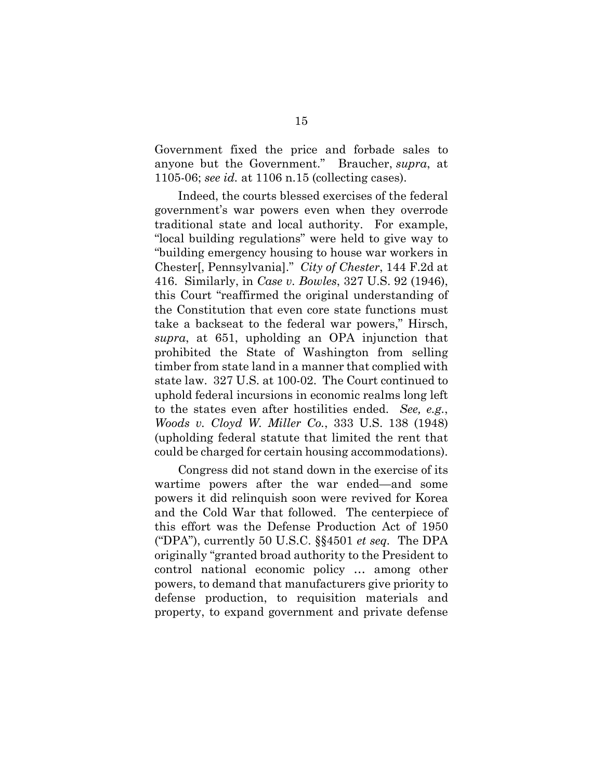Government fixed the price and forbade sales to anyone but the Government." Braucher, *supra*, at 1105-06; *see id.* at 1106 n.15 (collecting cases).

Indeed, the courts blessed exercises of the federal government's war powers even when they overrode traditional state and local authority. For example, "local building regulations" were held to give way to "building emergency housing to house war workers in Chester[, Pennsylvania]." *City of Chester*, 144 F.2d at 416. Similarly, in *Case v. Bowles*, 327 U.S. 92 (1946), this Court "reaffirmed the original understanding of the Constitution that even core state functions must take a backseat to the federal war powers," Hirsch, *supra*, at 651, upholding an OPA injunction that prohibited the State of Washington from selling timber from state land in a manner that complied with state law. 327 U.S. at 100-02. The Court continued to uphold federal incursions in economic realms long left to the states even after hostilities ended. *See, e.g.*, *Woods v. Cloyd W. Miller Co.*, 333 U.S. 138 (1948) (upholding federal statute that limited the rent that could be charged for certain housing accommodations).

Congress did not stand down in the exercise of its wartime powers after the war ended—and some powers it did relinquish soon were revived for Korea and the Cold War that followed. The centerpiece of this effort was the Defense Production Act of 1950 ("DPA"), currently 50 U.S.C. §§4501 *et seq.* The DPA originally "granted broad authority to the President to control national economic policy … among other powers, to demand that manufacturers give priority to defense production, to requisition materials and property, to expand government and private defense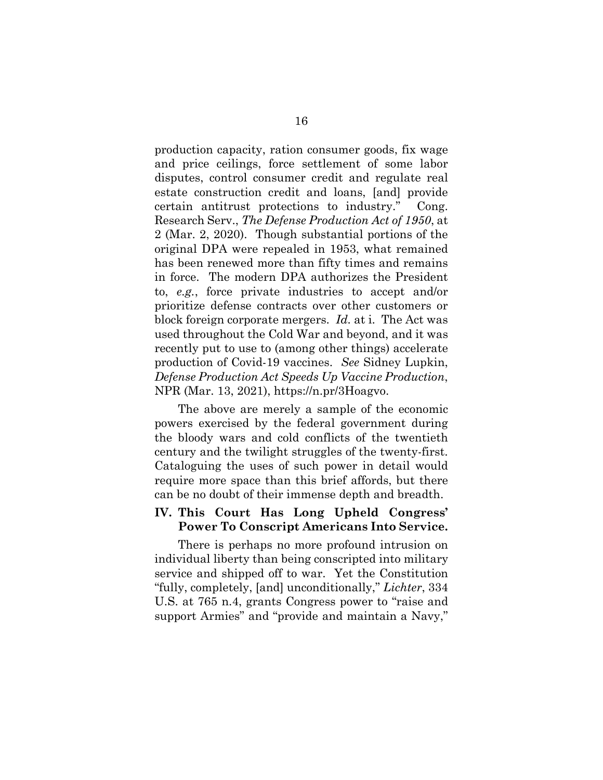production capacity, ration consumer goods, fix wage and price ceilings, force settlement of some labor disputes, control consumer credit and regulate real estate construction credit and loans, [and] provide certain antitrust protections to industry." Cong. Research Serv., *The Defense Production Act of 1950*, at 2 (Mar. 2, 2020). Though substantial portions of the original DPA were repealed in 1953, what remained has been renewed more than fifty times and remains in force. The modern DPA authorizes the President to, *e.g.*, force private industries to accept and/or prioritize defense contracts over other customers or block foreign corporate mergers. *Id.* at i. The Act was used throughout the Cold War and beyond, and it was recently put to use to (among other things) accelerate production of Covid-19 vaccines. *See* Sidney Lupkin, *Defense Production Act Speeds Up Vaccine Production*, NPR (Mar. 13, 2021), https://n.pr/3Hoagvo.

The above are merely a sample of the economic powers exercised by the federal government during the bloody wars and cold conflicts of the twentieth century and the twilight struggles of the twenty-first. Cataloguing the uses of such power in detail would require more space than this brief affords, but there can be no doubt of their immense depth and breadth.

## **IV. This Court Has Long Upheld Congress' Power To Conscript Americans Into Service.**

There is perhaps no more profound intrusion on individual liberty than being conscripted into military service and shipped off to war. Yet the Constitution "fully, completely, [and] unconditionally," *Lichter*, 334 U.S. at 765 n.4, grants Congress power to "raise and support Armies" and "provide and maintain a Navy,"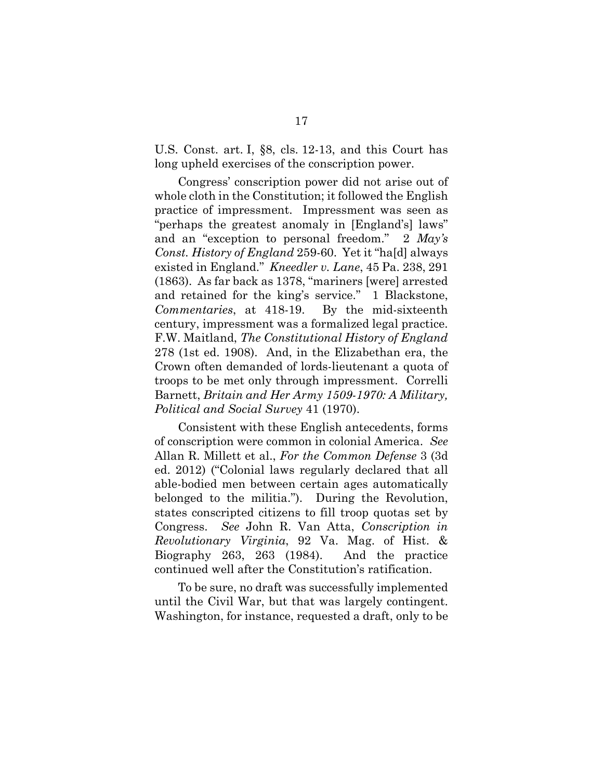U.S. Const. art. I, §8, cls. 12-13, and this Court has long upheld exercises of the conscription power.

Congress' conscription power did not arise out of whole cloth in the Constitution; it followed the English practice of impressment. Impressment was seen as "perhaps the greatest anomaly in [England's] laws" and an "exception to personal freedom." 2 *May's Const. History of England* 259-60. Yet it "ha[d] always existed in England." *Kneedler v. Lane*, 45 Pa. 238, 291 (1863). As far back as 1378, "mariners [were] arrested and retained for the king's service." 1 Blackstone, *Commentaries*, at 418-19. By the mid-sixteenth century, impressment was a formalized legal practice. F.W. Maitland, *The Constitutional History of England* 278 (1st ed. 1908). And, in the Elizabethan era, the Crown often demanded of lords-lieutenant a quota of troops to be met only through impressment. Correlli Barnett, *Britain and Her Army 1509-1970: A Military, Political and Social Survey* 41 (1970).

Consistent with these English antecedents, forms of conscription were common in colonial America. *See* Allan R. Millett et al., *For the Common Defense* 3 (3d ed. 2012) ("Colonial laws regularly declared that all able-bodied men between certain ages automatically belonged to the militia."). During the Revolution, states conscripted citizens to fill troop quotas set by Congress. *See* John R. Van Atta, *Conscription in Revolutionary Virginia*, 92 Va. Mag. of Hist. & Biography 263, 263 (1984). And the practice continued well after the Constitution's ratification.

To be sure, no draft was successfully implemented until the Civil War, but that was largely contingent. Washington, for instance, requested a draft, only to be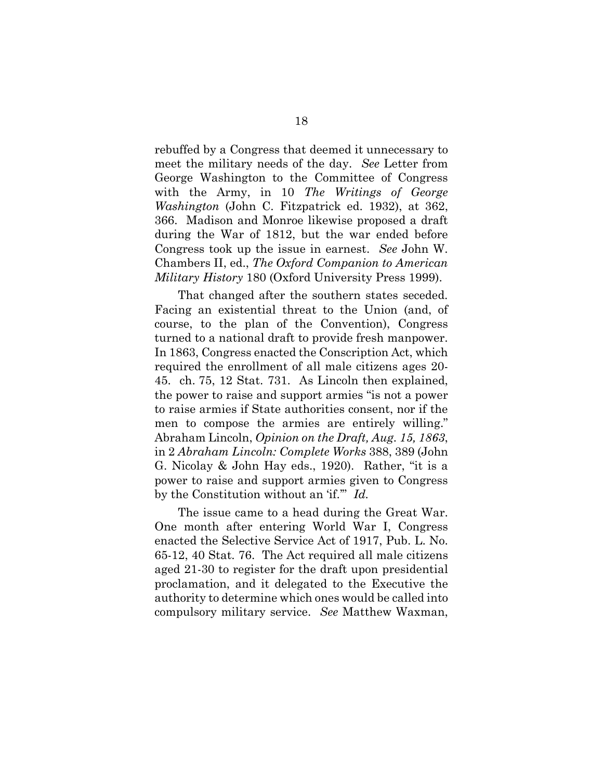rebuffed by a Congress that deemed it unnecessary to meet the military needs of the day. *See* Letter from George Washington to the Committee of Congress with the Army, in 10 *The Writings of George Washington* (John C. Fitzpatrick ed. 1932), at 362, 366. Madison and Monroe likewise proposed a draft during the War of 1812, but the war ended before Congress took up the issue in earnest. *See* John W. Chambers II, ed., *The Oxford Companion to American Military History* 180 (Oxford University Press 1999).

That changed after the southern states seceded. Facing an existential threat to the Union (and, of course, to the plan of the Convention), Congress turned to a national draft to provide fresh manpower. In 1863, Congress enacted the Conscription Act, which required the enrollment of all male citizens ages 20- 45. ch. 75, 12 Stat. 731. As Lincoln then explained, the power to raise and support armies "is not a power to raise armies if State authorities consent, nor if the men to compose the armies are entirely willing." Abraham Lincoln, *Opinion on the Draft, Aug. 15, 1863*, in 2 *Abraham Lincoln: Complete Works* 388, 389 (John G. Nicolay & John Hay eds., 1920). Rather, "it is a power to raise and support armies given to Congress by the Constitution without an 'if.'" *Id.*

The issue came to a head during the Great War. One month after entering World War I, Congress enacted the Selective Service Act of 1917, Pub. L. No. 65-12, 40 Stat. 76. The Act required all male citizens aged 21-30 to register for the draft upon presidential proclamation, and it delegated to the Executive the authority to determine which ones would be called into compulsory military service. *See* Matthew Waxman,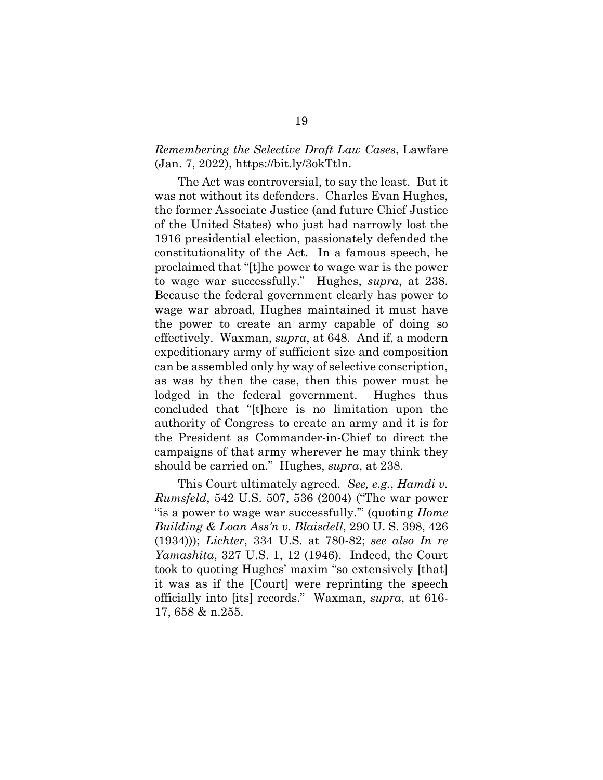#### *Remembering the Selective Draft Law Cases*, Lawfare (Jan. 7, 2022), [https://bit.ly/3okTtln.](https://bit.ly/3okTtln)

The Act was controversial, to say the least. But it was not without its defenders. Charles Evan Hughes, the former Associate Justice (and future Chief Justice of the United States) who just had narrowly lost the 1916 presidential election, passionately defended the constitutionality of the Act. In a famous speech, he proclaimed that "[t]he power to wage war is the power to wage war successfully." Hughes, *supra*, at 238. Because the federal government clearly has power to wage war abroad, Hughes maintained it must have the power to create an army capable of doing so effectively. Waxman, *supra*, at 648. And if, a modern expeditionary army of sufficient size and composition can be assembled only by way of selective conscription, as was by then the case, then this power must be lodged in the federal government. Hughes thus concluded that "[t]here is no limitation upon the authority of Congress to create an army and it is for the President as Commander-in-Chief to direct the campaigns of that army wherever he may think they should be carried on." Hughes, *supra*, at 238.

This Court ultimately agreed. *See, e.g.*, *Hamdi v. Rumsfeld*, 542 U.S. 507, 536 (2004) ("The war power "is a power to wage war successfully.'" (quoting *Home Building & Loan Ass'n v. Blaisdell*, 290 U. S. 398, 426 (1934))); *Lichter*, 334 U.S. at 780-82; *see also In re Yamashita*, 327 U.S. 1, 12 (1946). Indeed, the Court took to quoting Hughes' maxim "so extensively [that] it was as if the [Court] were reprinting the speech officially into [its] records." Waxman, *supra*, at 616- 17, 658 & n.255.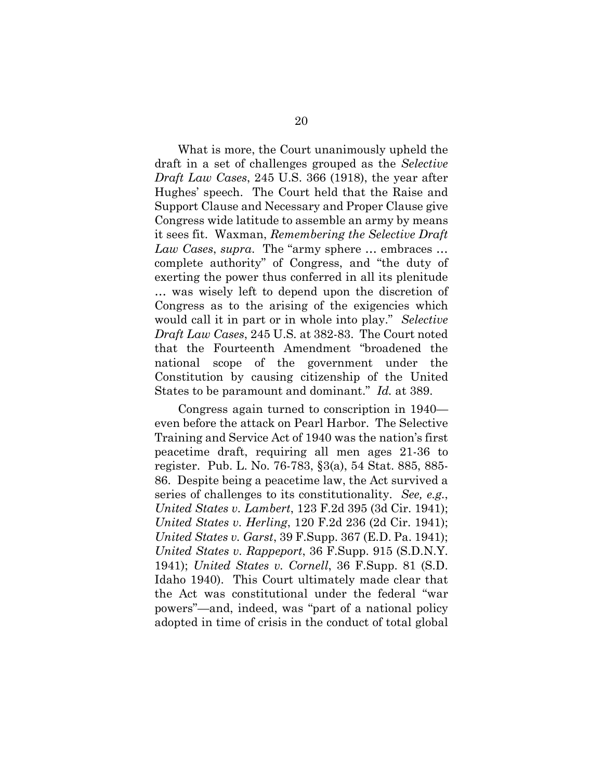What is more, the Court unanimously upheld the draft in a set of challenges grouped as the *Selective Draft Law Cases*, 245 U.S. 366 (1918), the year after Hughes' speech. The Court held that the Raise and Support Clause and Necessary and Proper Clause give Congress wide latitude to assemble an army by means it sees fit. Waxman, *Remembering the Selective Draft Law Cases*, *supra*. The "army sphere … embraces … complete authority" of Congress, and "the duty of exerting the power thus conferred in all its plenitude … was wisely left to depend upon the discretion of Congress as to the arising of the exigencies which would call it in part or in whole into play." *Selective Draft Law Cases*, 245 U.S*.* at 382-83. The Court noted that the Fourteenth Amendment "broadened the national scope of the government under the Constitution by causing citizenship of the United States to be paramount and dominant." *Id.* at 389.

Congress again turned to conscription in 1940 even before the attack on Pearl Harbor. The Selective Training and Service Act of 1940 was the nation's first peacetime draft, requiring all men ages 21-36 to register. Pub. L. No. 76-783, §3(a), 54 Stat. 885, 885- 86. Despite being a peacetime law, the Act survived a series of challenges to its constitutionality. *See, e.g.*, *United States v. Lambert*, 123 F.2d 395 (3d Cir. 1941); *United States v. Herling*, 120 F.2d 236 (2d Cir. 1941); *United States v. Garst*, 39 F.Supp. 367 (E.D. Pa. 1941); *United States v. Rappeport*, 36 F.Supp. 915 (S.D.N.Y. 1941); *United States v. Cornell*, 36 F.Supp. 81 (S.D. Idaho 1940). This Court ultimately made clear that the Act was constitutional under the federal "war powers"—and, indeed, was "part of a national policy adopted in time of crisis in the conduct of total global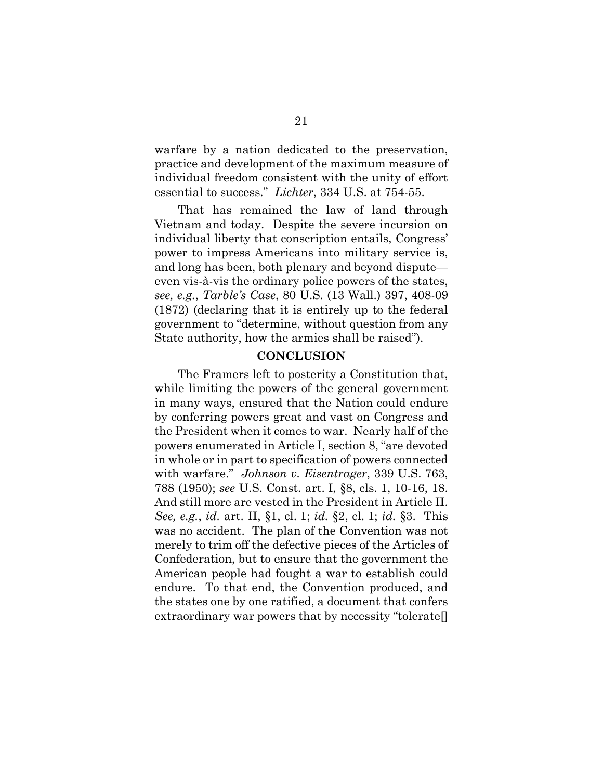warfare by a nation dedicated to the preservation, practice and development of the maximum measure of individual freedom consistent with the unity of effort essential to success." *Lichter*, 334 U.S. at 754-55.

That has remained the law of land through Vietnam and today. Despite the severe incursion on individual liberty that conscription entails, Congress' power to impress Americans into military service is, and long has been, both plenary and beyond dispute even vis-à-vis the ordinary police powers of the states, *see, e.g.*, *Tarble's Case*, 80 U.S. (13 Wall.) 397, 408-09 (1872) (declaring that it is entirely up to the federal government to "determine, without question from any State authority, how the armies shall be raised").

#### **CONCLUSION**

The Framers left to posterity a Constitution that, while limiting the powers of the general government in many ways, ensured that the Nation could endure by conferring powers great and vast on Congress and the President when it comes to war. Nearly half of the powers enumerated in Article I, section 8, "are devoted in whole or in part to specification of powers connected with warfare." *Johnson v. Eisentrager*, 339 U.S. 763, 788 (1950); *see* U.S. Const. art. I, §8, cls. 1, 10-16, 18. And still more are vested in the President in Article II. *See, e.g.*, *id.* art. II, §1, cl. 1; *id.* §2, cl. 1; *id.* §3. This was no accident. The plan of the Convention was not merely to trim off the defective pieces of the Articles of Confederation, but to ensure that the government the American people had fought a war to establish could endure. To that end, the Convention produced, and the states one by one ratified, a document that confers extraordinary war powers that by necessity "tolerate[]